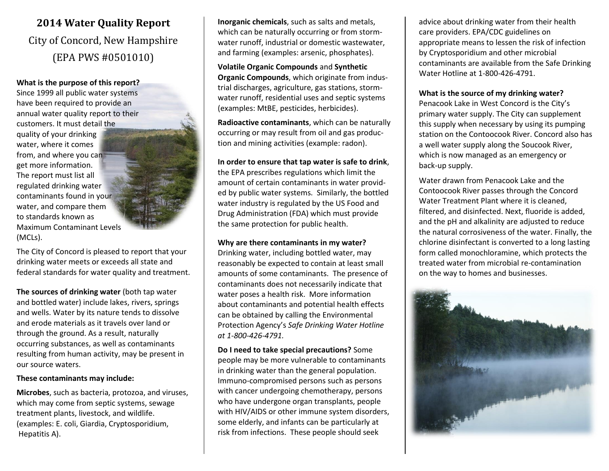# **2014 Water Quality Report** City of Concord, New Hampshire (EPA PWS #0501010)

#### **What is the purpose of this report?**

Since 1999 all public water systems have been required to provide an annual water quality report to their customers. It must detail the quality of your drinking water, where it comes from, and where you can get more information. The report must list all regulated drinking water contaminants found in your water, and compare them to standards known as Maximum Contaminant Levels (MCLs).

The City of Concord is pleased to report that your drinking water meets or exceeds all state and federal standards for water quality and treatment.

**The sources of drinking water** (both tap water and bottled water) include lakes, rivers, springs and wells. Water by its nature tends to dissolve and erode materials as it travels over land or through the ground. As a result, naturally occurring substances, as well as contaminants resulting from human activity, may be present in our source waters.

#### **These contaminants may include:**

**Microbes**, such as bacteria, protozoa, and viruses, which may come from septic systems, sewage treatment plants, livestock, and wildlife. (examples: E. coli, Giardia, Cryptosporidium, Hepatitis A).

**Inorganic chemicals**, such as salts and metals, which can be naturally occurring or from stormwater runoff, industrial or domestic wastewater, and farming (examples: arsenic, phosphates).

**Volatile Organic Compounds** and **Synthetic Organic Compounds**, which originate from industrial discharges, agriculture, gas stations, stormwater runoff, residential uses and septic systems (examples: MtBE, pesticides, herbicides).

**Radioactive contaminants**, which can be naturally occurring or may result from oil and gas production and mining activities (example: radon).

### **In order to ensure that tap water is safe to drink**,

the EPA prescribes regulations which limit the amount of certain contaminants in water provided by public water systems. Similarly, the bottled water industry is regulated by the US Food and Drug Administration (FDA) which must provide the same protection for public health.

### **Why are there contaminants in my water?**

Drinking water, including bottled water, may reasonably be expected to contain at least small amounts of some contaminants. The presence of contaminants does not necessarily indicate that water poses a health risk. More information about contaminants and potential health effects can be obtained by calling the Environmental Protection Agency's *Safe Drinking Water Hotline at 1-800-426-4791.*

**Do I need to take special precautions?** Some people may be more vulnerable to contaminants in drinking water than the general population. Immuno-compromised persons such as persons with cancer undergoing chemotherapy, persons who have undergone organ transplants, people with HIV/AIDS or other immune system disorders, some elderly, and infants can be particularly at risk from infections. These people should seek

advice about drinking water from their health care providers. EPA/CDC guidelines on appropriate means to lessen the risk of infection by Cryptosporidium and other microbial contaminants are available from the Safe Drinking Water Hotline at 1-800-426-4791.

## **What is the source of my drinking water?**

Penacook Lake in West Concord is the City's primary water supply. The City can supplement this supply when necessary by using its pumping station on the Contoocook River. Concord also has a well water supply along the Soucook River, which is now managed as an emergency or back-up supply.

Water drawn from Penacook Lake and the Contoocook River passes through the Concord Water Treatment Plant where it is cleaned, filtered, and disinfected. Next, fluoride is added, and the pH and alkalinity are adjusted to reduce the natural corrosiveness of the water. Finally, the chlorine disinfectant is converted to a long lasting form called monochloramine, which protects the treated water from microbial re-contamination on the way to homes and businesses.

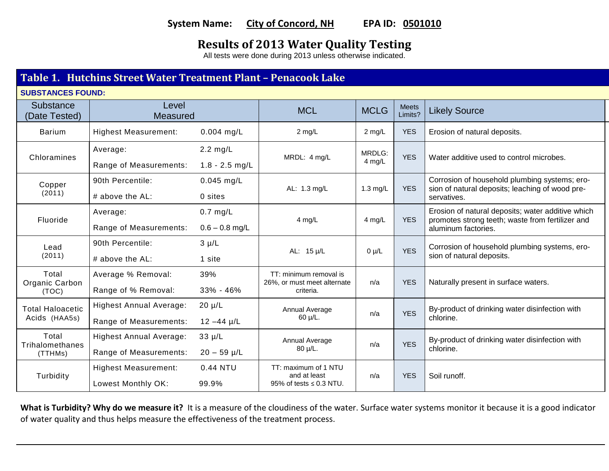# **System Name: City of Concord, NH EPA ID: 0501010**

# **Results of 2013 Water Quality Testing**

All tests were done during 2013 unless otherwise indicated.

# **Table 1. Hutchins Street Water Treatment Plant – Penacook Lake**

**SUBSTANCES FOUND:**

| Substance<br>(Date Tested)               | Level<br><b>Measured</b>                                 |                                        | <b>MCL</b>                                                         | <b>MCLG</b>      | <b>Meets</b><br>Limits? | <b>Likely Source</b>                                                                                                         |  |
|------------------------------------------|----------------------------------------------------------|----------------------------------------|--------------------------------------------------------------------|------------------|-------------------------|------------------------------------------------------------------------------------------------------------------------------|--|
| <b>Barium</b>                            | <b>Highest Measurement:</b>                              | $0.004$ mg/L                           | $2$ mg/L                                                           | $2$ mg/L         | <b>YES</b>              | Erosion of natural deposits.                                                                                                 |  |
| Chloramines                              | Average:<br>Range of Measurements:                       | $2.2 \text{ mg/L}$<br>$1.8 - 2.5$ mg/L | MRDL: 4 mg/L                                                       | MRDLG:<br>4 mg/L | <b>YES</b>              | Water additive used to control microbes.                                                                                     |  |
| Copper<br>(2011)                         | 90th Percentile:<br>$#$ above the AL:                    | $0.045$ mg/L<br>0 sites                | AL: 1.3 mg/L                                                       | 1.3 mg/L         | <b>YES</b>              | Corrosion of household plumbing systems; ero-<br>sion of natural deposits; leaching of wood pre-<br>servatives.              |  |
| Fluoride                                 | Average:<br>Range of Measurements:                       | $0.7$ mg/L<br>$0.6 - 0.8$ mg/L         | $4$ mg/L                                                           | 4 mg/L           | <b>YES</b>              | Erosion of natural deposits; water additive which<br>promotes strong teeth; waste from fertilizer and<br>aluminum factories. |  |
| Lead<br>(2011)                           | 90th Percentile:<br># above the AL:                      | $3 \mu/L$<br>1 site                    | AL: 15 µ/L                                                         | $0 \mu/L$        | <b>YES</b>              | Corrosion of household plumbing systems, ero-<br>sion of natural deposits.                                                   |  |
| Total<br>Organic Carbon<br>(TOC)         | Average % Removal:<br>Range of % Removal:                | 39%<br>33% - 46%                       | TT: minimum removal is<br>26%, or must meet alternate<br>criteria. | n/a              | <b>YES</b>              | Naturally present in surface waters.                                                                                         |  |
| <b>Total Haloacetic</b><br>Acids (HAA5s) | <b>Highest Annual Average:</b><br>Range of Measurements: | $20 \mu/L$<br>$12 - 44 \mu/L$          | Annual Average<br>$60 \mu/L$ .                                     | n/a              | <b>YES</b>              | By-product of drinking water disinfection with<br>chlorine.                                                                  |  |
| Total<br>Trihalomethanes<br>(TTHMs)      | <b>Highest Annual Average:</b><br>Range of Measurements: | $33 \mu/L$<br>$20 - 59$ µ/L            | Annual Average<br>$80 \mu/L$ .                                     | n/a              | <b>YES</b>              | By-product of drinking water disinfection with<br>chlorine.                                                                  |  |
| Turbidity                                | <b>Highest Measurement:</b><br>Lowest Monthly OK:        | 0.44 NTU<br>99.9%                      | TT: maximum of 1 NTU<br>and at least<br>95% of tests ≤ 0.3 NTU.    | n/a              | <b>YES</b>              | Soil runoff.                                                                                                                 |  |

What is Turbidity? Why do we measure it? It is a measure of the cloudiness of the water. Surface water systems monitor it because it is a good indicator of water quality and thus helps measure the effectiveness of the treatment process.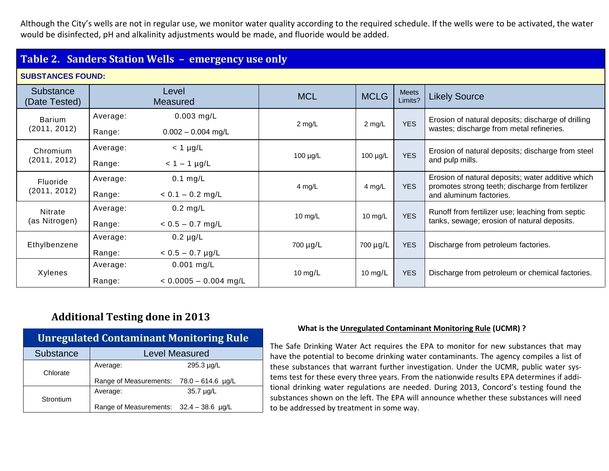Although the City's wells are not in regular use, we monitor water quality according to the required schedule. If the wells were to be activated, the water would be disinfected, pH and alkalinity adjustments would be made, and fluoride would be added.

# **Table 2. Sanders Station Wells – emergency use only**

## **SUBSTANCES FOUND:**

| Substance<br>(Date Tested) |                    | Level<br><b>Measured</b>                | <b>MCL</b>    | <b>MCLG</b>      | <b>Meets</b><br>Limits? | <b>Likely Source</b>                                                                                                             |
|----------------------------|--------------------|-----------------------------------------|---------------|------------------|-------------------------|----------------------------------------------------------------------------------------------------------------------------------|
| Barium<br>(2011, 2012)     | Average:<br>Range: | $0.003$ mg/L<br>$0.002 - 0.004$ mg/L    | $2$ mg/L      | $2 \text{ mg/L}$ | <b>YES</b>              | Erosion of natural deposits; discharge of drilling<br>wastes; discharge from metal refineries.                                   |
| Chromium<br>(2011, 2012)   | Average:<br>Range: | $<$ 1 µg/L<br>$< 1 - 1$ µg/L            | 100 $\mu$ g/L | 100 µg/L         | <b>YES</b>              | Erosion of natural deposits; discharge from steel<br>and pulp mills.                                                             |
| Fluoride<br>(2011, 2012)   | Average:<br>Range: | $0.1$ mg/L<br>$< 0.1 - 0.2$ mg/L        | 4 mg/L        | 4 mg/L           | <b>YES</b>              | Erosion of natural deposits; water additive which<br>promotes strong teeth; discharge from fertilizer<br>and aluminum factories. |
| Nitrate<br>(as Nitrogen)   | Average:<br>Range: | $0.2$ mg/L<br>$< 0.5 - 0.7$ mg/L        | 10 $mg/L$     | 10 mg/L          | <b>YES</b>              | Runoff from fertilizer use; leaching from septic<br>tanks, sewage; erosion of natural deposits.                                  |
| Ethylbenzene               | Average:<br>Range: | $0.2 \mu g/L$<br>$< 0.5 - 0.7$ µg/L     | 700 µg/L      | 700 µg/L         | <b>YES</b>              | Discharge from petroleum factories.                                                                                              |
| Xylenes                    | Average:<br>Range: | $0.001$ mg/L<br>$< 0.0005 - 0.004$ mg/L | 10 mg/ $L$    | 10 mg/ $L$       | <b>YES</b>              | Discharge from petroleum or chemical factories.                                                                                  |

# **Additional Testing done in 2013**

| <b>Unregulated Contaminant Monitoring Rule</b> |                                            |            |  |  |  |  |
|------------------------------------------------|--------------------------------------------|------------|--|--|--|--|
| <b>Substance</b>                               | <b>Level Measured</b>                      |            |  |  |  |  |
| Chlorate                                       | Average:                                   | 295.3 µg/L |  |  |  |  |
|                                                | Range of Measurements: $78.0 - 614.6$ µg/L |            |  |  |  |  |
| Strontium                                      | Average:                                   | 35.7 µg/L  |  |  |  |  |
|                                                | Range of Measurements: 32.4 - 38.6 µg/L    |            |  |  |  |  |

### **What is the Unregulated Contaminant Monitoring Rule (UCMR) ?**

The Safe Drinking Water Act requires the EPA to monitor for new substances that may have the potential to become drinking water contaminants. The agency compiles a list of these substances that warrant further investigation. Under the UCMR, public water systems test for these every three years. From the nationwide results EPA determines if additional drinking water regulations are needed. During 2013, Concord's testing found the substances shown on the left. The EPA will announce whether these substances will need to be addressed by treatment in some way.